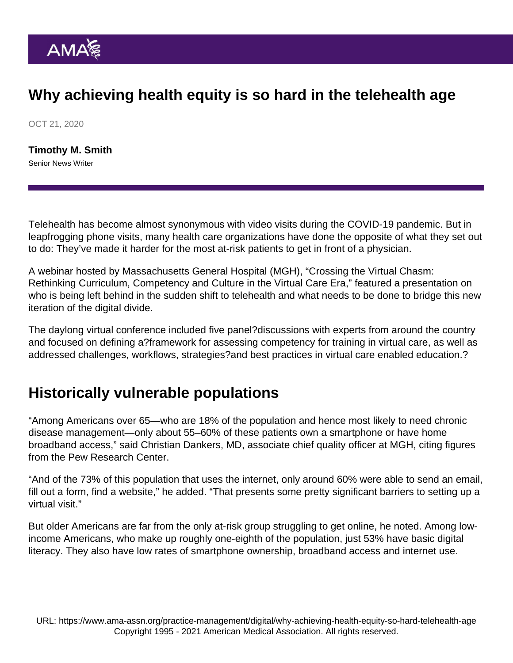## Why achieving health equity is so hard in the telehealth age

OCT 21, 2020

[Timothy M. Smith](https://www.ama-assn.org/news-leadership-viewpoints/authors-news-leadership-viewpoints/timothy-m-smith) Senior News Writer

Telehealth has become almost synonymous with video visits during the COVID-19 pandemic. But in leapfrogging phone visits, many health care organizations have done the opposite of what they set out to do: They've made it harder for the most at-risk patients to get in front of a physician.

A webinar hosted by Massachusetts General Hospital (MGH), "[Crossing the Virtual Chasm:](https://www.virtualcarecompetency.com/) [Rethinking Curriculum, Competency and Culture in the Virtual Care Era,](https://www.virtualcarecompetency.com/)" featured a presentation on who is being left behind in the sudden shift to telehealth and what needs to be done to bridge this new iteration of the digital divide.

The daylong virtual conference included five panel?discussions with experts from around the country and focused on defining a?framework for assessing competency for training in virtual care, as well as addressed challenges, workflows, strategies?and best practices in virtual care enabled education.?

## Historically vulnerable populations

"Among Americans over 65—who are 18% of the population and hence most likely to need chronic disease management—only about 55–60% of these patients own a smartphone or have home broadband access," said Christian Dankers, MD, associate chief quality officer at MGH, citing figures from the Pew Research Center.

"And of the 73% of this population that uses the internet, only around 60% were able to send an email, fill out a form, find a website," he added. "That presents some pretty significant barriers to setting up a virtual visit."

But older Americans are far from the only at-risk group struggling to get online, he noted. Among lowincome Americans, who make up roughly one-eighth of the population, just 53% have basic digital literacy. They also have low rates of smartphone ownership, broadband access and internet use.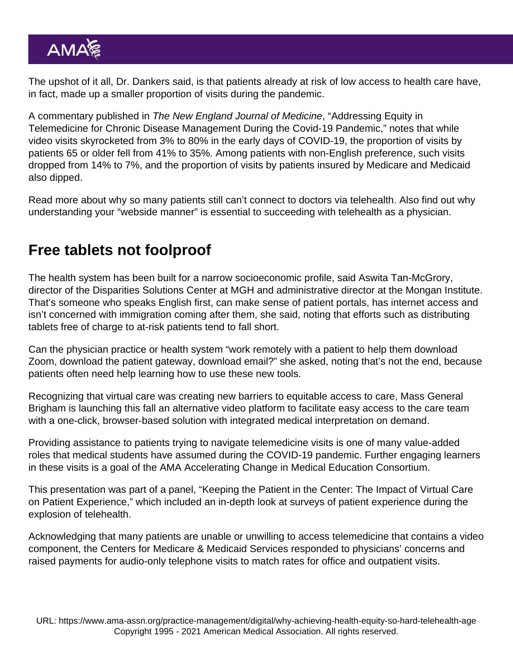The upshot of it all, Dr. Dankers said, is that patients already at risk of low access to health care have, in fact, made up a smaller proportion of visits during the pandemic.

A commentary published in The New England Journal of Medicine, "Addressing Equity in Telemedicine for Chronic Disease Management During the Covid-19 Pandemic," notes that while video visits skyrocketed from 3% to 80% in the early days of COVID-19, the proportion of visits by patients 65 or older fell from 41% to 35%. Among patients with non-English preference, such visits dropped from 14% to 7%, and the proportion of visits by patients insured by Medicare and Medicaid also dipped.

Read more about [why so many patients still can't connect to doctors via telehealth](https://www.ama-assn.org/practice-management/digital/why-so-many-patients-still-can-t-connect-doctors-telehealth). Also find out why [understanding your "webside manner"](https://www.ama-assn.org/practice-management/digital/succeed-telehealth-know-your-webside-manner) is essential to succeeding with telehealth as a physician.

## Free tablets not foolproof

The health system has been built for a narrow socioeconomic profile, said Aswita Tan-McGrory, director of the Disparities Solutions Center at MGH and administrative director at the Mongan Institute. That's someone who speaks English first, can make sense of patient portals, has internet access and isn't concerned with immigration coming after them, she said, noting that efforts such as distributing tablets free of charge to at-risk patients tend to fall short.

Can the physician practice or health system "work remotely with a patient to help them download Zoom, download the patient gateway, download email?" she asked, noting that's not the end, because patients often need help learning how to use these new tools.

Recognizing that virtual care was creating new barriers to equitable access to care, Mass General Brigham is launching this fall an alternative video platform to facilitate easy access to the care team with a one-click, browser-based solution with integrated medical interpretation on demand.

Providing assistance to patients trying to navigate telemedicine visits is one of many [value-added](https://cc.readytalk.com/cc/playback/Playback.do?id=goy249) [roles](https://cc.readytalk.com/cc/playback/Playback.do?id=goy249) that medical students have assumed during the COVID-19 pandemic. Further [engaging learners](https://cc.readytalk.com/cc/playback/Playback.do?id=54x1ql) in these visits is a goal of the [AMA Accelerating Change in Medical Education Consortium](https://www.ama-assn.org/education/member-schools-consortium).

This presentation was part of a panel, "Keeping the Patient in the Center: The Impact of Virtual Care on Patient Experience," which included an in-depth look at surveys of patient experience during the explosion of telehealth.

Acknowledging that many patients are unable or unwilling to access telemedicine that contains a video component, the Centers for Medicare & Medicaid Services responded to physicians' concerns and [raised payments for audio-only telephone visits](https://www.ama-assn.org/practice-management/digital/cms-oks-pay-parity-telephone-visits-during-covid-19-crisis) to match rates for office and outpatient visits.